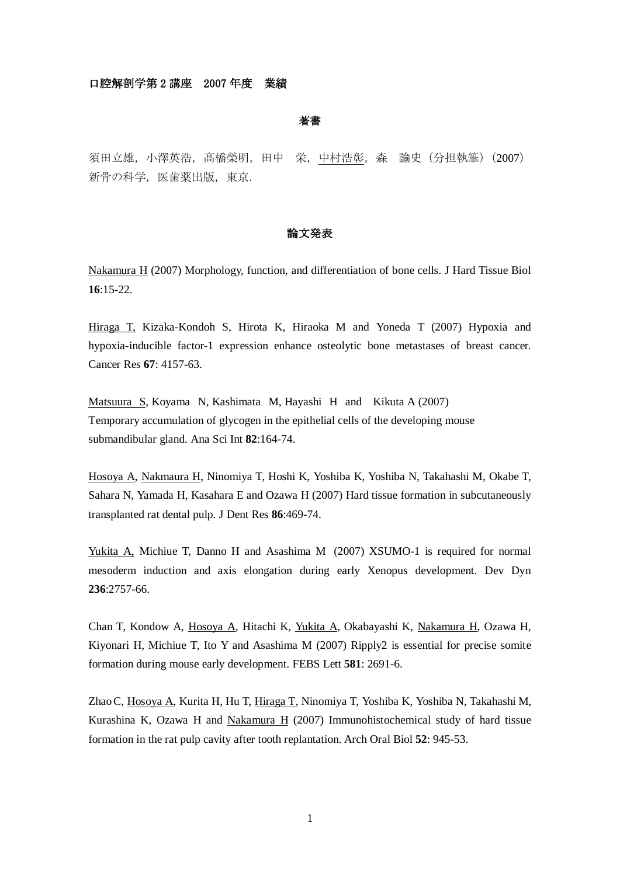# 口腔解剖学第 2 講座 2007 年度 業績

著書

須田立雄,小澤英浩,髙橋榮明,田中 栄,中村浩彰,森 諭史(分担執筆)(2007) 新骨の科学, 医歯薬出版, 東京.

# 論文発表

Nakamura H (2007) Morphology, function, and differentiation of bone cells. J Hard Tissue Biol **16**:15-22.

Hiraga T, Kizaka-Kondoh S, Hirota K, Hiraoka M and Yoneda T (2007) Hypoxia and hypoxia-inducible factor-1 expression enhance osteolytic bone metastases of breast cancer. Cancer Res **67**: 4157-63.

Matsuura S, Koyama N, Kashimata M, Hayashi H and Kikuta A (2007) Temporary accumulation of glycogen in the epithelial cells of the developing mouse submandibular gland. Ana Sci Int **82**:164-74.

Hosoya A, Nakmaura H, Ninomiya T, Hoshi K, Yoshiba K, Yoshiba N, Takahashi M, Okabe T, Sahara N, Yamada H, Kasahara E and Ozawa H (2007) Hard tissue formation in subcutaneously transplanted rat dental pulp. J Dent Res **86**:469-74.

Yukita A, Michiue T, Danno H and Asashima M (2007) XSUMO-1 is required for normal mesoderm induction and axis elongation during early Xenopus development. Dev Dyn **236**:2757-66.

Chan T, Kondow A, Hosoya A, Hitachi K, Yukita A, Okabayashi K, Nakamura H, Ozawa H, Kiyonari H, Michiue T, Ito Y and Asashima M (2007) Ripply2 is essential for precise somite formation during mouse early development. FEBS Lett **581**: 2691-6.

ZhaoC, Hosoya A, Kurita H, Hu T, Hiraga T, Ninomiya T, Yoshiba K, Yoshiba N, Takahashi M, Kurashina K, Ozawa H and Nakamura H (2007) Immunohistochemical study of hard tissue formation in the rat pulp cavity after tooth replantation. Arch Oral Biol **52**: 945-53.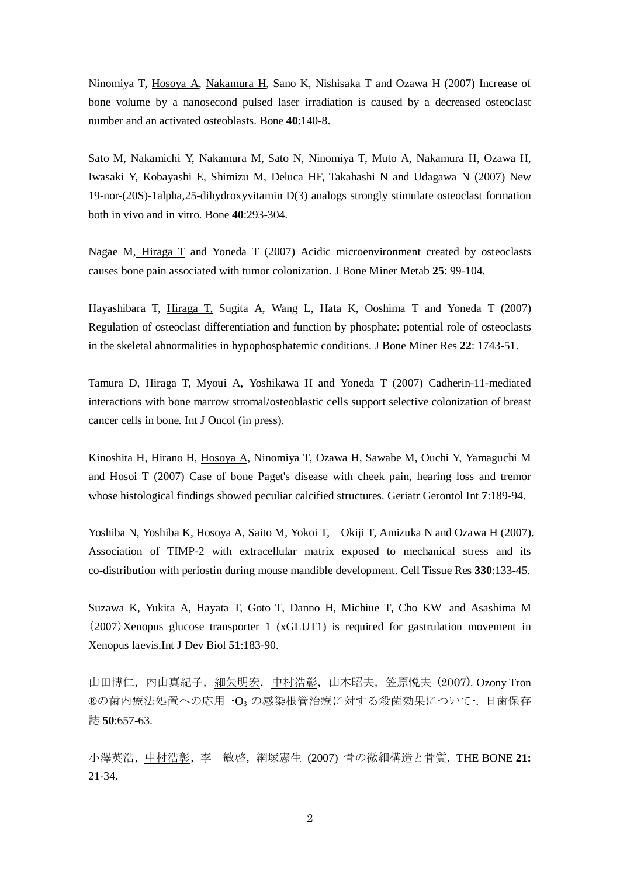Ninomiya T, Hosoya A, Nakamura H, Sano K, Nishisaka T and Ozawa H (2007) Increase of bone volume by a nanosecond pulsed laser irradiation is caused by a decreased osteoclast number and an activated osteoblasts. Bone **40**:140-8.

Sato M, Nakamichi Y, Nakamura M, Sato N, Ninomiya T, Muto A, Nakamura H, Ozawa H, Iwasaki Y, Kobayashi E, Shimizu M, Deluca HF, Takahashi N and Udagawa N (2007) New 19-nor-(20S)-1alpha,25-dihydroxyvitamin D(3) analogs strongly stimulate osteoclast formation both in vivo and in vitro. Bone **40**:293-304.

Nagae M, Hiraga T and Yoneda T (2007) Acidic microenvironment created by osteoclasts causes bone pain associated with tumor colonization. J Bone Miner Metab **25**: 99-104.

Hayashibara T, Hiraga T, Sugita A, Wang L, Hata K, Ooshima T and Yoneda T (2007) Regulation of osteoclast differentiation and function by phosphate: potential role of osteoclasts in the skeletal abnormalities in hypophosphatemic conditions. J Bone Miner Res **22**: 1743-51.

Tamura D, Hiraga T, Myoui A, Yoshikawa H and Yoneda T (2007) Cadherin-11-mediated interactions with bone marrow stromal/osteoblastic cells support selective colonization of breast cancer cells in bone. Int J Oncol (in press).

Kinoshita H, Hirano H, Hosoya A, Ninomiya T, Ozawa H, Sawabe M, Ouchi Y, Yamaguchi M and Hosoi T (2007) Case of bone Paget's disease with cheek pain, hearing loss and tremor whose histological findings showed peculiar calcified structures. Geriatr Gerontol Int **7**:189-94.

Yoshiba N, Yoshiba K, Hosoya A, Saito M, Yokoi T, Okiji T, Amizuka N and Ozawa H (2007). Association of TIMP-2 with extracellular matrix exposed to mechanical stress and its co-distribution with periostin during mouse mandible development. Cell Tissue Res **330**:133-45.

Suzawa K, Yukita A, Hayata T, Goto T, Danno H, Michiue T, Cho KW and Asashima M (2007)Xenopus glucose transporter 1 (xGLUT1) is required for gastrulation movement in Xenopus laevis.Int J Dev Biol **51**:183-90.

山田博仁, 内山真紀子, 細矢明宏, 中村浩彰, 山本昭夫, 笠原悦夫 (2007). Ozony Tron ®の歯内療法処置への応用 -O3 の感染根管治療に対する殺菌効果について-. 日歯保存 誌 **50**:657-63.

小澤英浩,中村浩彰,李 敏啓,網塚憲生 (2007) 骨の微細構造と骨質.THE BONE **21:** 21-34.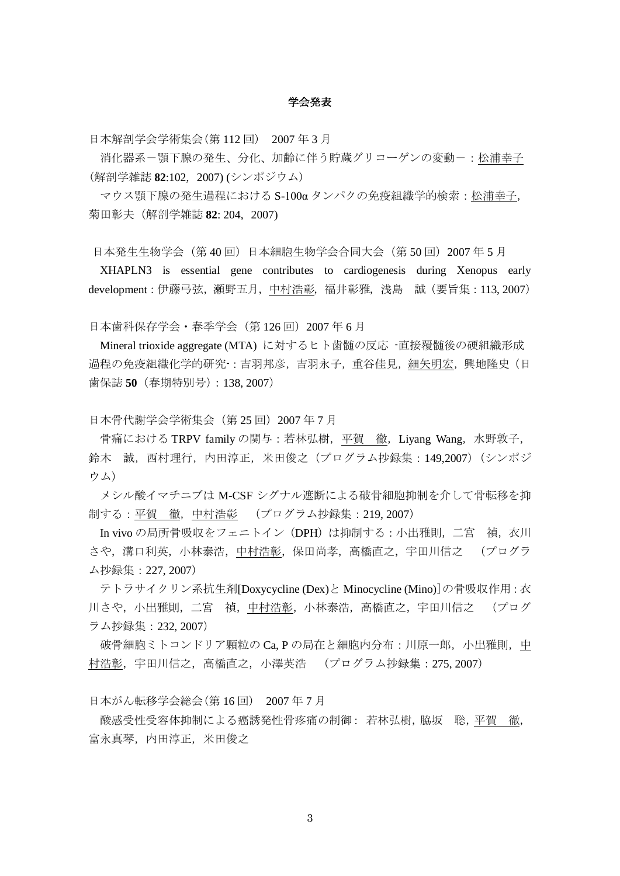### 学会発表

日本解剖学会学術集会(第 112 回) 2007 年 3 月

消化器系ー顎下腺の発生、分化、加齢に伴う貯蔵グリコーゲンの変動ー:松浦幸子 (解剖学雑誌 **82**:102, 2007) (シンポジウム)

マウス顎下腺の発生過程における S-100α タンパクの免疫組織学的検索:松浦幸子, 菊田彰夫(解剖学雑誌 **82**: 204, 2007)

日本発生生物学会(第40回)日本細胞生物学会合同大会(第 50 回) 2007 年 5 月

XHAPLN3 is essential gene contributes to cardiogenesis during Xenopus early development:伊藤弓弦,瀬野五月,中村浩彰,福井彰雅,浅島 誠(要旨集:113, 2007)

日本歯科保存学会・春季学会(第 126 回) 2007 年 6 月

Mineral trioxide aggregate (MTA) に対するヒト歯髄の反応 -直接覆髄後の硬組織形成 過程の免疫組織化学的研究-:吉羽邦彦,吉羽永子,重谷佳見,細矢明宏,興地隆史(日 歯保誌 **50**(春期特別号):138, 2007)

日本骨代謝学会学術集会(第 25 回) 2007 年 7 月

骨痛における TRPV family の関与:若林弘樹,平賀 徹, Liyang Wang, 水野敦子, 鈴木 誠,西村理行,内田淳正,米田俊之(プログラム抄録集:149,2007)(シンポジ ウム)

メシル酸イマチニブは M-CSF シグナル遮断による破骨細胞抑制を介して骨転移を抑 制する:平賀 徹,中村浩彰 (プログラム抄録集:219, 2007)

In vivo の局所骨吸収をフェニトイン(DPH)は抑制する:小出雅則,二宮 禎,衣川 さや,溝口利英,小林泰浩,中村浩彰,保田尚孝,高橋直之,宇田川信之 (プログラ ム抄録集:227, 2007)

テトラサイクリン系抗生剤[Doxycycline (Dex)と Minocycline (Mino)]の骨吸収作用:衣 川さや,小出雅則,二宮 禎,中村浩彰,小林泰浩,高橋直之,宇田川信之 (プログ ラム抄録集:232, 2007)

破骨細胞ミトコンドリア顆粒の Ca, P の局在と細胞内分布:川原一郎, 小出雅則, 中 村浩彰,宇田川信之,高橋直之,小澤英浩 (プログラム抄録集:275, 2007)

日本がん転移学会総会(第 16 回) 2007 年 7 月

酸感受性受容体抑制による癌誘発性骨疼痛の制御: 若林弘樹,脇坂 聡,平賀 徹, 富永真琴,内田淳正,米田俊之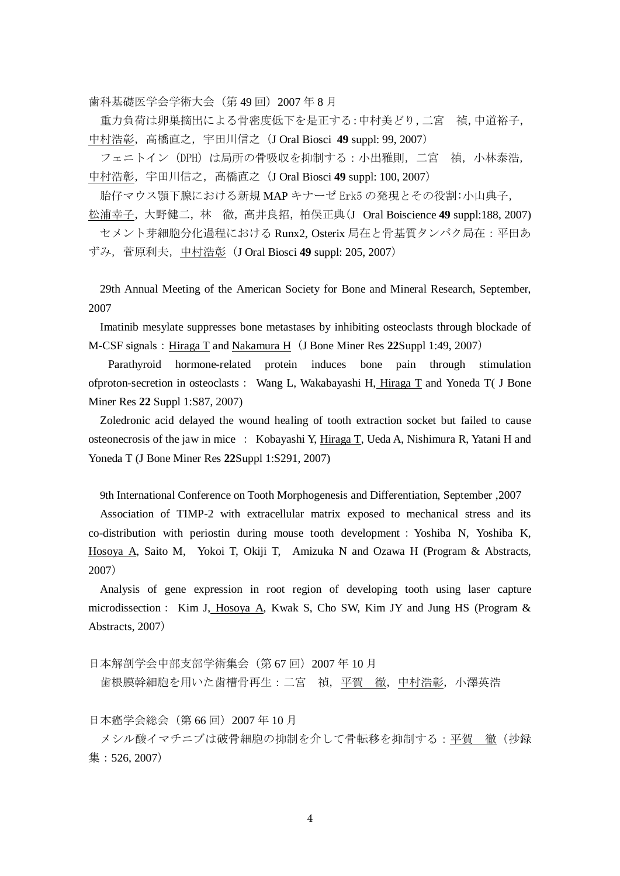歯科基礎医学会学術大会(第49回)2007年8月

重力負荷は卵巣摘出による骨密度低下を是正する:中村美どり,二宮 禎,中道裕子, 中村浩彰,高橋直之,宇田川信之(J Oral Biosci **49** suppl: 99, 2007)

フェニトイン (DPH) は局所の骨吸収を抑制する:小出雅則, 二宮 禎, 小林泰浩, 中村浩彰,宇田川信之,高橋直之(J Oral Biosci **49** suppl: 100, 2007)

胎仔マウス顎下腺における新規 MAP キナーゼ Erk5 の発現とその役割:小山典子, 松浦幸子,大野健二,林 徹,高井良招,柏俣正典(J Oral Boiscience 49 suppl:188, 2007)

セメント芽細胞分化過程における Runx2, Osterix 局在と骨基質タンパク局在:平田あ ずみ,菅原利夫,中村浩彰(J Oral Biosci **49** suppl: 205, 2007)

29th Annual Meeting of the American Society for Bone and Mineral Research, September, 2007

Imatinib mesylate suppresses bone metastases by inhibiting osteoclasts through blockade of M-CSF signals:Hiraga T and Nakamura H(J Bone Miner Res **22**Suppl 1:49, 2007)

Parathyroid hormone-related protein induces bone pain through stimulation ofproton-secretion in osteoclasts: Wang L, Wakabayashi H, Hiraga T and Yoneda T( J Bone Miner Res **22** Suppl 1:S87, 2007)

Zoledronic acid delayed the wound healing of tooth extraction socket but failed to cause osteonecrosis of the jaw in mice : Kobayashi Y, Hiraga T, Ueda A, Nishimura R, Yatani H and Yoneda T (J Bone Miner Res **22**Suppl 1:S291, 2007)

9th International Conference on Tooth Morphogenesis and Differentiation, September ,2007

Association of TIMP-2 with extracellular matrix exposed to mechanical stress and its co-distribution with periostin during mouse tooth development:Yoshiba N, Yoshiba K, Hosoya A, Saito M, Yokoi T, Okiji T, Amizuka N and Ozawa H (Program & Abstracts, 2007)

Analysis of gene expression in root region of developing tooth using laser capture microdissection: Kim J, Hosoya A, Kwak S, Cho SW, Kim JY and Jung HS (Program & Abstracts, 2007)

日本解剖学会中部支部学術集会(第 67 回) 2007 年 10 月

歯根膜幹細胞を用いた歯槽骨再生:二宮 禎,平賀 徹,中村浩彰,小澤英浩

日本癌学会総会(第 66 回)2007 年 10 月

メシル酸イマチニブは破骨細胞の抑制を介して骨転移を抑制する:平賀 徹(抄録 集:526, 2007)